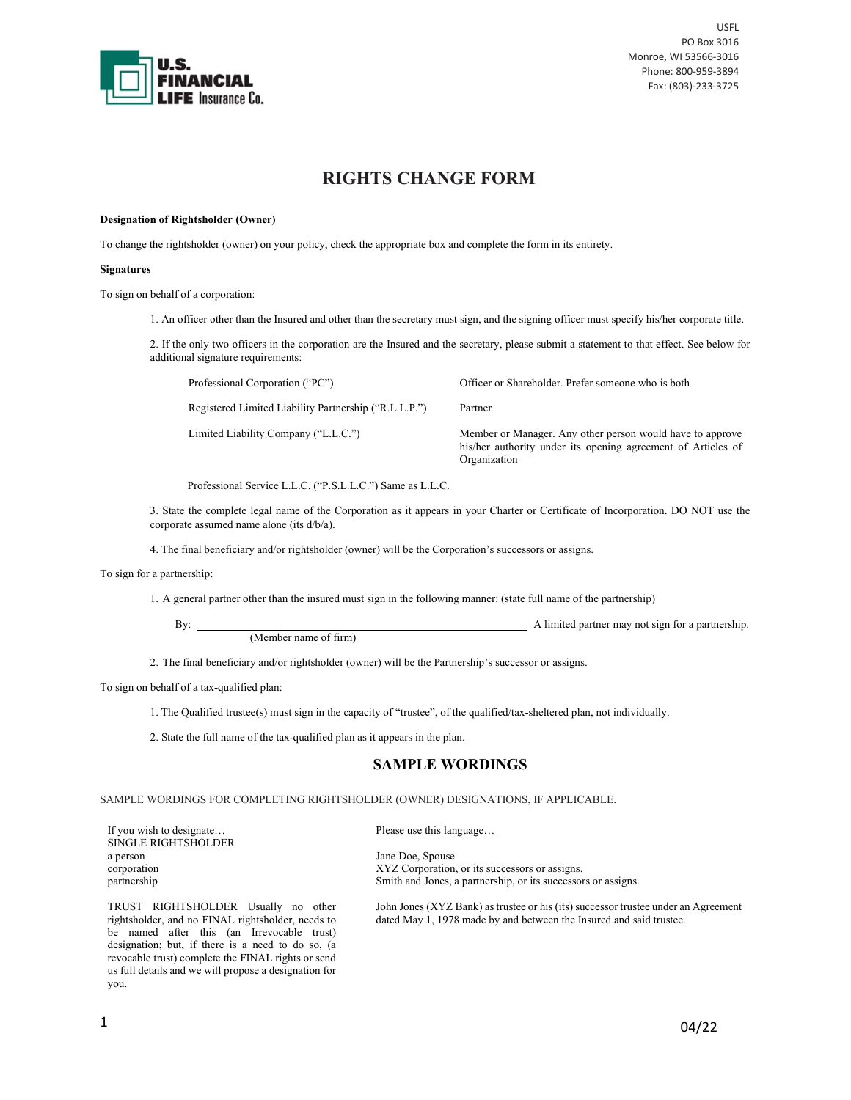

# RIGHTS CHANGE FORM

### Designation of Rightsholder (Owner)

To change the rightsholder (owner) on your policy, check the appropriate box and complete the form in its entirety.

### Signatures

To sign on behalf of a corporation:

1. An officer other than the Insured and other than the secretary must sign, and the signing officer must specify his/her corporate title.

2. If the only two officers in the corporation are the Insured and the secretary, please submit a statement to that effect. See below for additional signature requirements:

Professional Corporation ("PC")

Registered Limited Liability Partnership ("R.L.L.P.")

Limited Liability Company ("L.L.C.")

Officer or Shareholder. Prefer someone who is both

Partner

Member or Manager. Any other person would have to approve his/her authority under its opening agreement of Articles of Organization

Professional Service L.L.C. ("P.S.L.L.C.") Same as L.L.C.

3. State the complete legal name of the Corporation as it appears in your Charter or Certificate of Incorporation. DO NOT use the corporate assumed name alone (its d/b/a).

4. The final beneficiary and/or rightsholder (owner) will be the Corporation's successors or assigns.

To sign for a partnership:

1. A general partner other than the insured must sign in the following manner: (state full name of the partnership)

By: A limited partner may not sign for a partnership.

2. The final beneficiary and/or rightsholder (owner) will be the Partnership's successor or assigns.

To sign on behalf of a tax-qualified plan:

revocable trust) complete the FINAL rights or send us full details and we will propose a designation for

1. The Qualified trustee(s) must sign in the capacity of "trustee", of the qualified/tax-sheltered plan, not individually.

2. State the full name of the tax-qualified plan as it appears in the plan.

(Member name of firm)

# SAMPLE WORDINGS

SAMPLE WORDINGS FOR COMPLETING RIGHTSHOLDER (OWNER) DESIGNATIONS, IF APPLICABLE.

| If you wish to designate<br><b>SINGLE RIGHTSHOLDER</b>                                                                                                                                      | Please use this language                                                                                                                                  |
|---------------------------------------------------------------------------------------------------------------------------------------------------------------------------------------------|-----------------------------------------------------------------------------------------------------------------------------------------------------------|
| a person<br>corporation<br>partnership                                                                                                                                                      | Jane Doe, Spouse<br>XYZ Corporation, or its successors or assigns.<br>Smith and Jones, a partnership, or its successors or assigns.                       |
| TRUST RIGHTSHOLDER Usually no other<br>rightsholder, and no FINAL rightsholder, needs to<br>be named after this (an Irrevocable trust)<br>designation; but, if there is a need to do so, (a | John Jones (XYZ Bank) as trustee or his (its) successor trustee under an Agreement<br>dated May 1, 1978 made by and between the Insured and said trustee. |

you.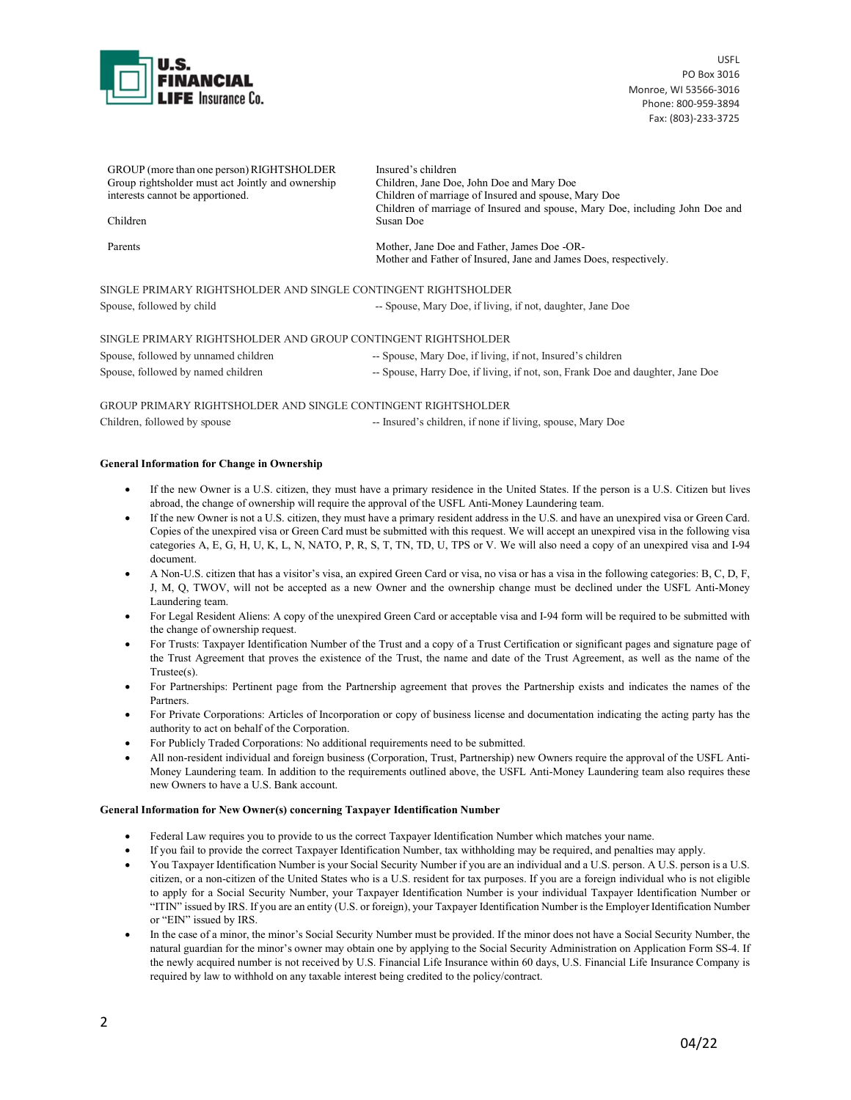

| GROUP (more than one person) RIGHTSHOLDER<br>Group rightsholder must act Jointly and ownership<br>interests cannot be apportioned. | Insured's children<br>Children, Jane Doe, John Doe and Mary Doe<br>Children of marriage of Insured and spouse, Mary Doe |
|------------------------------------------------------------------------------------------------------------------------------------|-------------------------------------------------------------------------------------------------------------------------|
| Children                                                                                                                           | Children of marriage of Insured and spouse, Mary Doe, including John Doe and<br>Susan Doe                               |
| Parents                                                                                                                            | Mother, Jane Doe and Father, James Doe -OR-<br>Mother and Father of Insured, Jane and James Does, respectively.         |
| SINGLE PRIMARY RIGHTSHOLDER AND SINGLE CONTINGENT RIGHTSHOLDER                                                                     |                                                                                                                         |
| Spouse, followed by child                                                                                                          | -- Spouse, Mary Doe, if living, if not, daughter, Jane Doe                                                              |
| SINGLE PRIMARY RIGHTSHOLDER AND GROUP CONTINGENT RIGHTSHOLDER                                                                      |                                                                                                                         |

| Spouse, followed by unnamed children | -- Spouse, Mary Doe, if living, if not, Insured's children                     |
|--------------------------------------|--------------------------------------------------------------------------------|
| Spouse, followed by named children   | -- Spouse, Harry Doe, if living, if not, son, Frank Doe and daughter, Jane Doe |

GROUP PRIMARY RIGHTSHOLDER AND SINGLE CONTINGENT RIGHTSHOLDER Children, followed by spouse -- Insured's children, if none if living, spouse, Mary Doe

## General Information for Change in Ownership

- If the new Owner is a U.S. citizen, they must have a primary residence in the United States. If the person is a U.S. Citizen but lives abroad, the change of ownership will require the approval of the USFL Anti-Money Laundering team.
- If the new Owner is not a U.S. citizen, they must have a primary resident address in the U.S. and have an unexpired visa or Green Card. Copies of the unexpired visa or Green Card must be submitted with this request. We will accept an unexpired visa in the following visa categories A, E, G, H, U, K, L, N, NATO, P, R, S, T, TN, TD, U, TPS or V. We will also need a copy of an unexpired visa and I-94 document.
- A Non-U.S. citizen that has a visitor's visa, an expired Green Card or visa, no visa or has a visa in the following categories: B, C, D, F, J, M, Q, TWOV, will not be accepted as a new Owner and the ownership change must be declined under the USFL Anti-Money Laundering team.
- For Legal Resident Aliens: A copy of the unexpired Green Card or acceptable visa and I-94 form will be required to be submitted with the change of ownership request.
- For Trusts: Taxpayer Identification Number of the Trust and a copy of a Trust Certification or significant pages and signature page of the Trust Agreement that proves the existence of the Trust, the name and date of the Trust Agreement, as well as the name of the Trustee(s).
- For Partnerships: Pertinent page from the Partnership agreement that proves the Partnership exists and indicates the names of the Partners.
- For Private Corporations: Articles of Incorporation or copy of business license and documentation indicating the acting party has the authority to act on behalf of the Corporation.
- For Publicly Traded Corporations: No additional requirements need to be submitted.
- All non-resident individual and foreign business (Corporation, Trust, Partnership) new Owners require the approval of the USFL Anti-Money Laundering team. In addition to the requirements outlined above, the USFL Anti-Money Laundering team also requires these new Owners to have a U.S. Bank account.

### General Information for New Owner(s) concerning Taxpayer Identification Number

- Federal Law requires you to provide to us the correct Taxpayer Identification Number which matches your name.
- If you fail to provide the correct Taxpayer Identification Number, tax withholding may be required, and penalties may apply.
- You Taxpayer Identification Number is your Social Security Number if you are an individual and a U.S. person. A U.S. person is a U.S. citizen, or a non-citizen of the United States who is a U.S. resident for tax purposes. If you are a foreign individual who is not eligible to apply for a Social Security Number, your Taxpayer Identification Number is your individual Taxpayer Identification Number or "ITIN" issued by IRS. If you are an entity (U.S. or foreign), your Taxpayer Identification Number is the Employer Identification Number or "EIN" issued by IRS.
- In the case of a minor, the minor's Social Security Number must be provided. If the minor does not have a Social Security Number, the natural guardian for the minor's owner may obtain one by applying to the Social Security Administration on Application Form SS-4. If the newly acquired number is not received by U.S. Financial Life Insurance within 60 days, U.S. Financial Life Insurance Company is required by law to withhold on any taxable interest being credited to the policy/contract.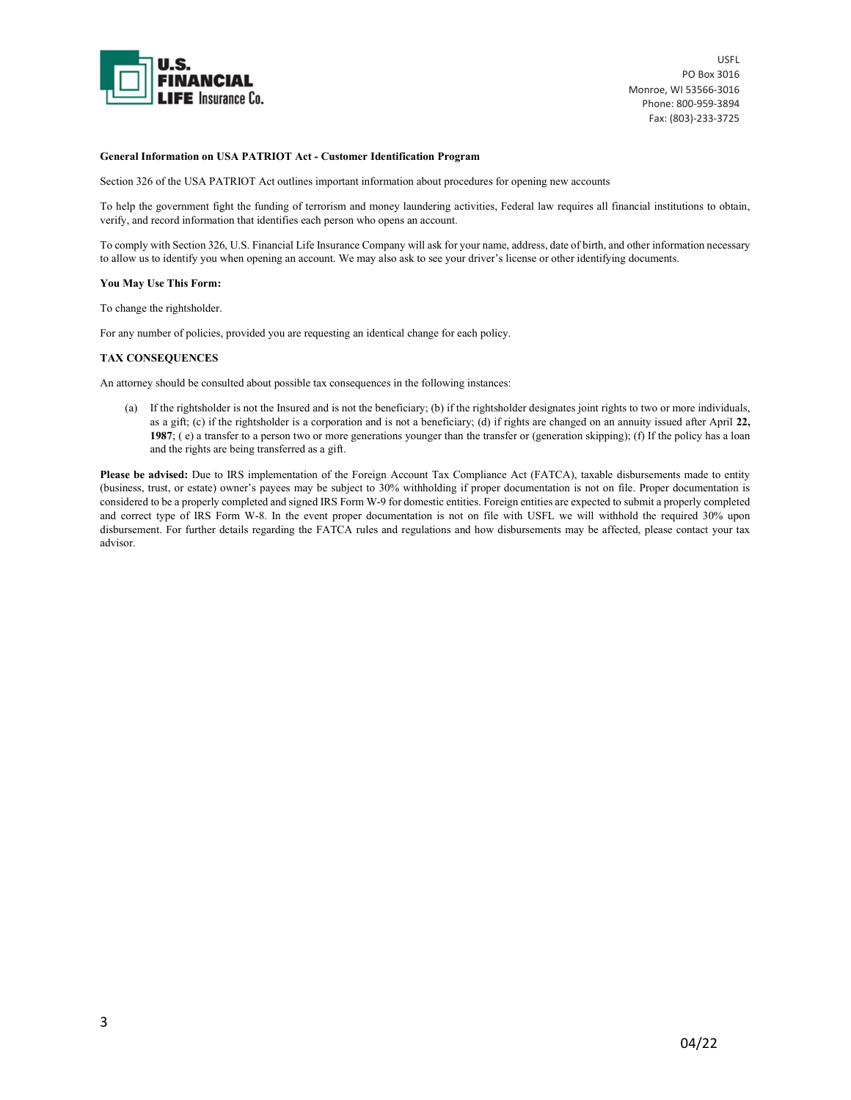

### General Information on USA PATRIOT Act - Customer Identification Program

Section 326 of the USA PATRIOT Act outlines important information about procedures for opening new accounts

To help the government fight the funding of terrorism and money laundering activities, Federal law requires all financial institutions to obtain, verify, and record information that identifies each person who opens an account.

To comply with Section 326, U.S. Financial Life Insurance Company will ask for your name, address, date of birth, and other information necessary to allow us to identify you when opening an account. We may also ask to see your driver's license or other identifying documents.

### You May Use This Form:

To change the rightsholder.

For any number of policies, provided you are requesting an identical change for each policy.

### TAX CONSEQUENCES

An attorney should be consulted about possible tax consequences in the following instances:

(a) If the rightsholder is not the Insured and is not the beneficiary; (b) if the rightsholder designates joint rights to two or more individuals, as a gift; (c) if the rightsholder is a corporation and is not a beneficiary; (d) if rights are changed on an annuity issued after April 22, 1987; ( e) a transfer to a person two or more generations younger than the transfer or (generation skipping); (f) If the policy has a loan and the rights are being transferred as a gift.

Please be advised: Due to IRS implementation of the Foreign Account Tax Compliance Act (FATCA), taxable disbursements made to entity (business, trust, or estate) owner's payees may be subject to 30% withholding if proper documentation is not on file. Proper documentation is considered to be a properly completed and signed IRS Form W-9 for domestic entities. Foreign entities are expected to submit a properly completed and correct type of IRS Form W-8. In the event proper documentation is not on file with USFL we will withhold the required 30% upon disbursement. For further details regarding the FATCA rules and regulations and how disbursements may be affected, please contact your tax advisor.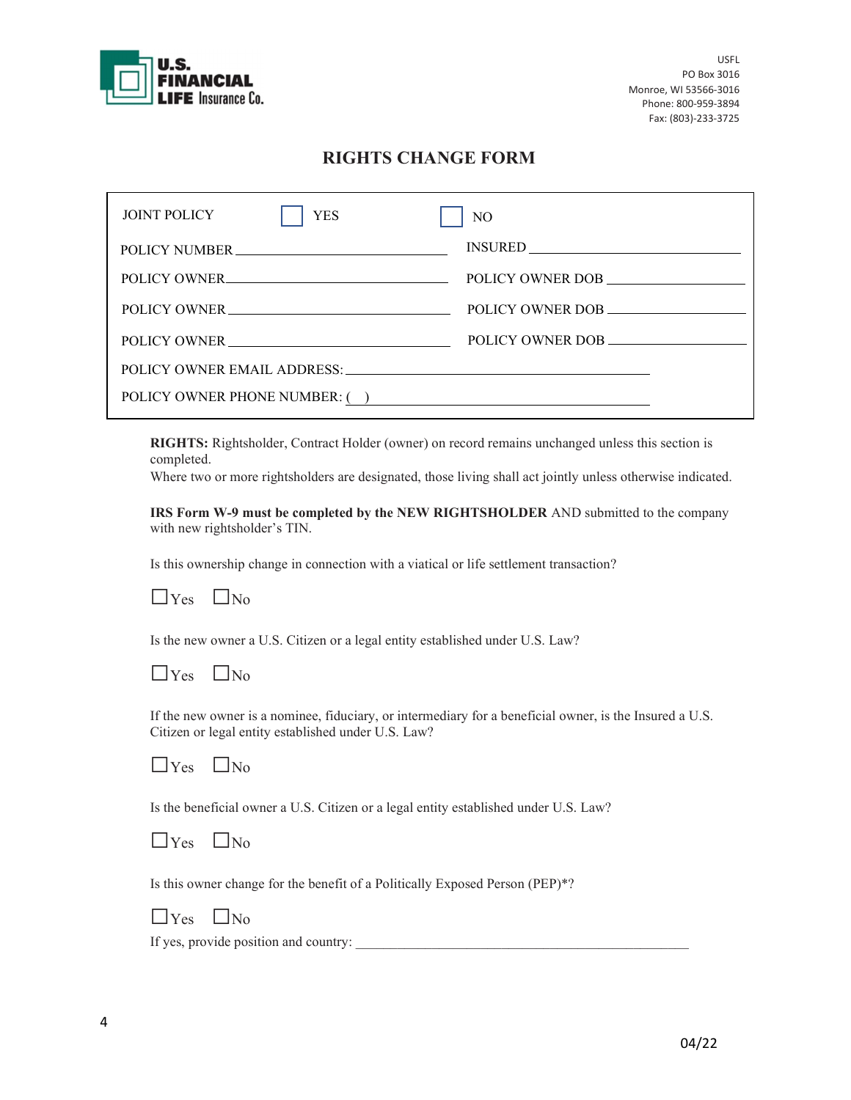

# RIGHTS CHANGE FORM

| <b>JOINT POLICY</b><br><b>YES</b> | N <sub>O</sub>                 |
|-----------------------------------|--------------------------------|
| POLICY NUMBER                     |                                |
| POLICY OWNER                      | POLICY OWNER DOB               |
| POLICY OWNER                      | POLICY OWNER DOB               |
| POLICY OWNER                      | POLICY OWNER DOB               |
|                                   |                                |
|                                   | POLICY OWNER PHONE NUMBER: ( ) |

RIGHTS: Rightsholder, Contract Holder (owner) on record remains unchanged unless this section is completed.

Where two or more rightsholders are designated, those living shall act jointly unless otherwise indicated.

IRS Form W-9 must be completed by the NEW RIGHTSHOLDER AND submitted to the company with new rightsholder's TIN.

Is this ownership change in connection with a viatical or life settlement transaction?



Is the new owner a U.S. Citizen or a legal entity established under U.S. Law?

| $\cdot$ IN <sub>0</sub> |
|-------------------------|
|                         |

If the new owner is a nominee, fiduciary, or intermediary for a beneficial owner, is the Insured a U.S. Citizen or legal entity established under U.S. Law?

| $V_{\rm{es}}$ | $\mathsf{LN}_0$ |
|---------------|-----------------|
|               |                 |

Is the beneficial owner a U.S. Citizen or a legal entity established under U.S. Law?

| Y AS | $N_0$ |
|------|-------|

Is this owner change for the benefit of a Politically Exposed Person (PEP)\*?

| YAS | INo |
|-----|-----|

If yes, provide position and country: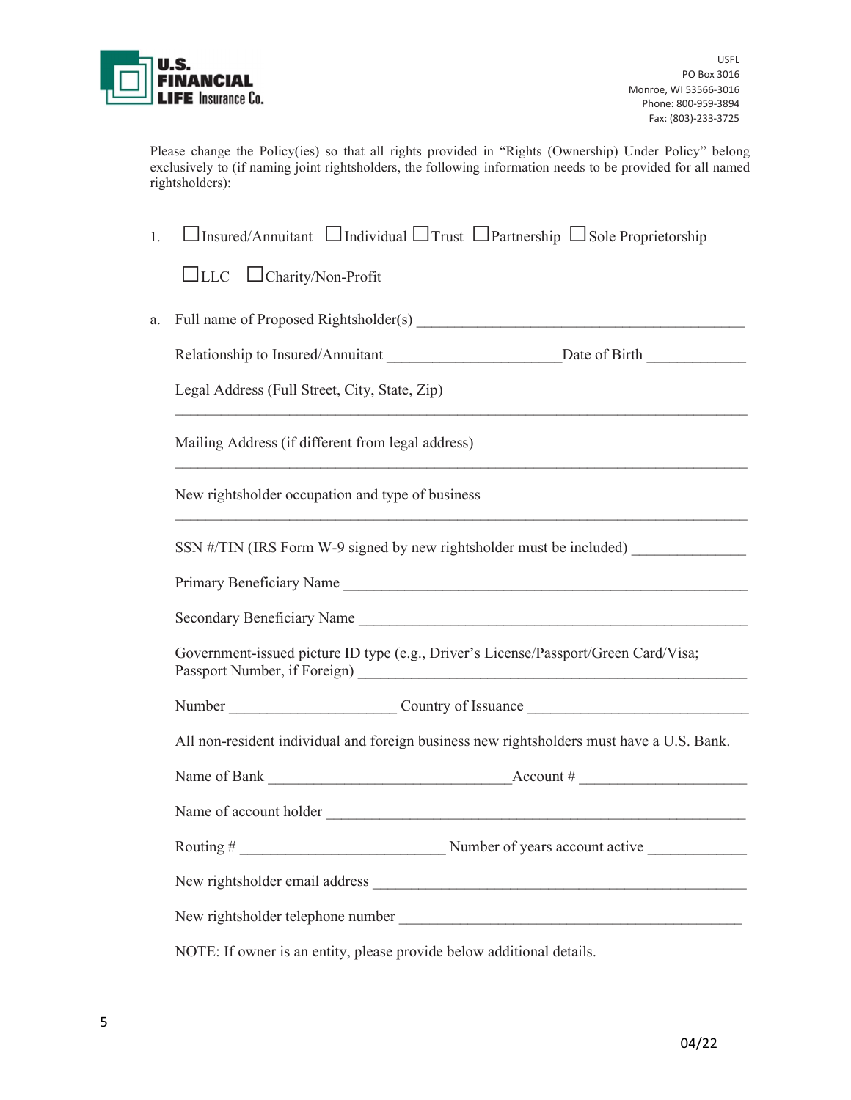

Please change the Policy(ies) so that all rights provided in "Rights (Ownership) Under Policy" belong exclusively to (if naming joint rightsholders, the following information needs to be provided for all named rightsholders):

| 1.                                                                                        | $\Box$ Insured/Annuitant $\Box$ Individual $\Box$ Trust $\Box$ Partnership $\Box$ Sole Proprietorship |                                                                      |
|-------------------------------------------------------------------------------------------|-------------------------------------------------------------------------------------------------------|----------------------------------------------------------------------|
|                                                                                           | $\Box$ LLC $\Box$ Charity/Non-Profit                                                                  |                                                                      |
| a.                                                                                        |                                                                                                       |                                                                      |
|                                                                                           |                                                                                                       |                                                                      |
|                                                                                           | Legal Address (Full Street, City, State, Zip)                                                         |                                                                      |
|                                                                                           | Mailing Address (if different from legal address)                                                     |                                                                      |
|                                                                                           | New rightsholder occupation and type of business                                                      |                                                                      |
|                                                                                           |                                                                                                       | SSN #/TIN (IRS Form W-9 signed by new rightsholder must be included) |
|                                                                                           |                                                                                                       | Primary Beneficiary Name                                             |
|                                                                                           |                                                                                                       |                                                                      |
| Government-issued picture ID type (e.g., Driver's License/Passport/Green Card/Visa;       |                                                                                                       |                                                                      |
|                                                                                           |                                                                                                       |                                                                      |
| All non-resident individual and foreign business new rightsholders must have a U.S. Bank. |                                                                                                       |                                                                      |
|                                                                                           |                                                                                                       |                                                                      |
|                                                                                           |                                                                                                       |                                                                      |
|                                                                                           |                                                                                                       |                                                                      |
|                                                                                           |                                                                                                       |                                                                      |
|                                                                                           |                                                                                                       |                                                                      |
|                                                                                           | NOTE: If owner is an entity, please provide below additional details.                                 |                                                                      |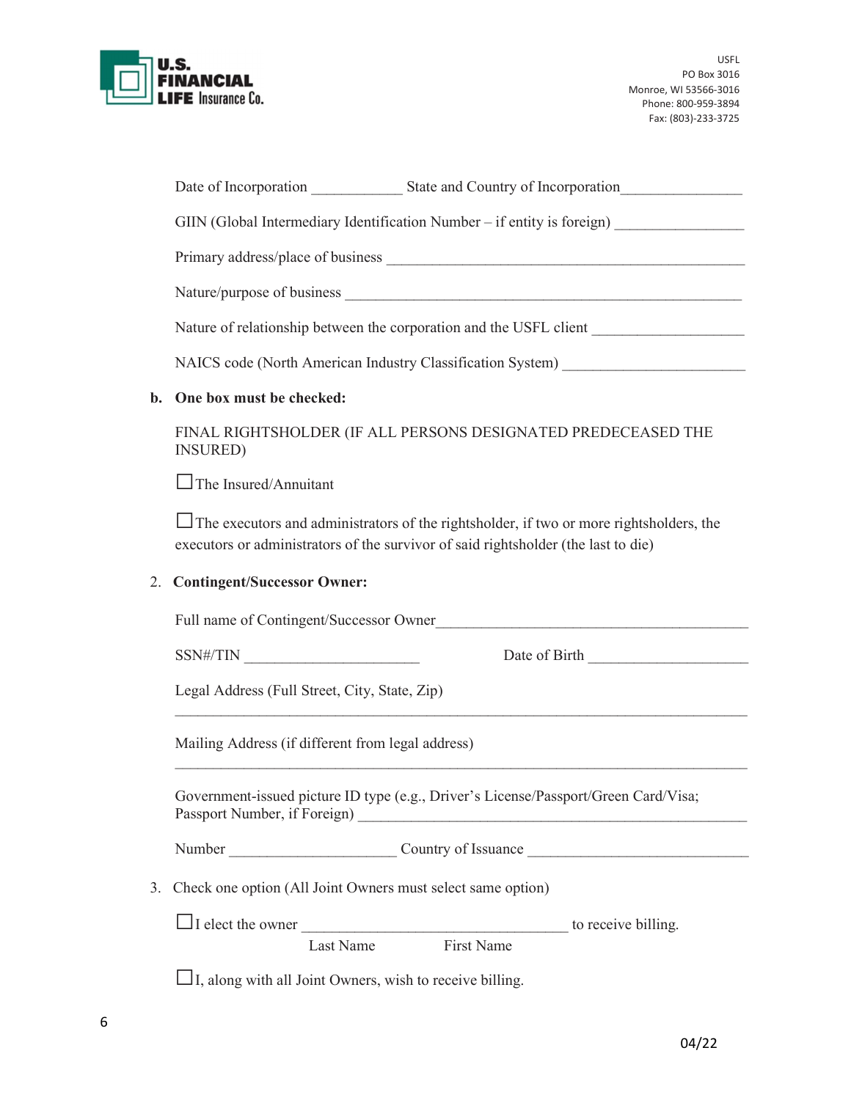

|                | GIIN (Global Intermediary Identification Number - if entity is foreign) _______________                                                                                              |  |  |
|----------------|--------------------------------------------------------------------------------------------------------------------------------------------------------------------------------------|--|--|
|                |                                                                                                                                                                                      |  |  |
|                |                                                                                                                                                                                      |  |  |
|                | Nature of relationship between the corporation and the USFL client ______________                                                                                                    |  |  |
|                | NAICS code (North American Industry Classification System) _____________________                                                                                                     |  |  |
| $\mathbf{b}$ . | One box must be checked:                                                                                                                                                             |  |  |
|                | FINAL RIGHTSHOLDER (IF ALL PERSONS DESIGNATED PREDECEASED THE<br><b>INSURED</b> )                                                                                                    |  |  |
|                | $\Box$ The Insured/Annuitant                                                                                                                                                         |  |  |
|                | $\Box$ The executors and administrators of the rightsholder, if two or more rightsholders, the<br>executors or administrators of the survivor of said rightsholder (the last to die) |  |  |
| 2.             | <b>Contingent/Successor Owner:</b>                                                                                                                                                   |  |  |
|                | Full name of Contingent/Successor Owner                                                                                                                                              |  |  |
|                | $SSN\#/TIN \_\_$<br>Date of Birth                                                                                                                                                    |  |  |
|                | Legal Address (Full Street, City, State, Zip)                                                                                                                                        |  |  |
|                | Mailing Address (if different from legal address)                                                                                                                                    |  |  |
|                | Government-issued picture ID type (e.g., Driver's License/Passport/Green Card/Visa;                                                                                                  |  |  |
|                |                                                                                                                                                                                      |  |  |
| 3.             | Check one option (All Joint Owners must select same option)                                                                                                                          |  |  |
|                | <b>First Name</b><br>Last Name                                                                                                                                                       |  |  |
|                | $\Box$ I, along with all Joint Owners, wish to receive billing.                                                                                                                      |  |  |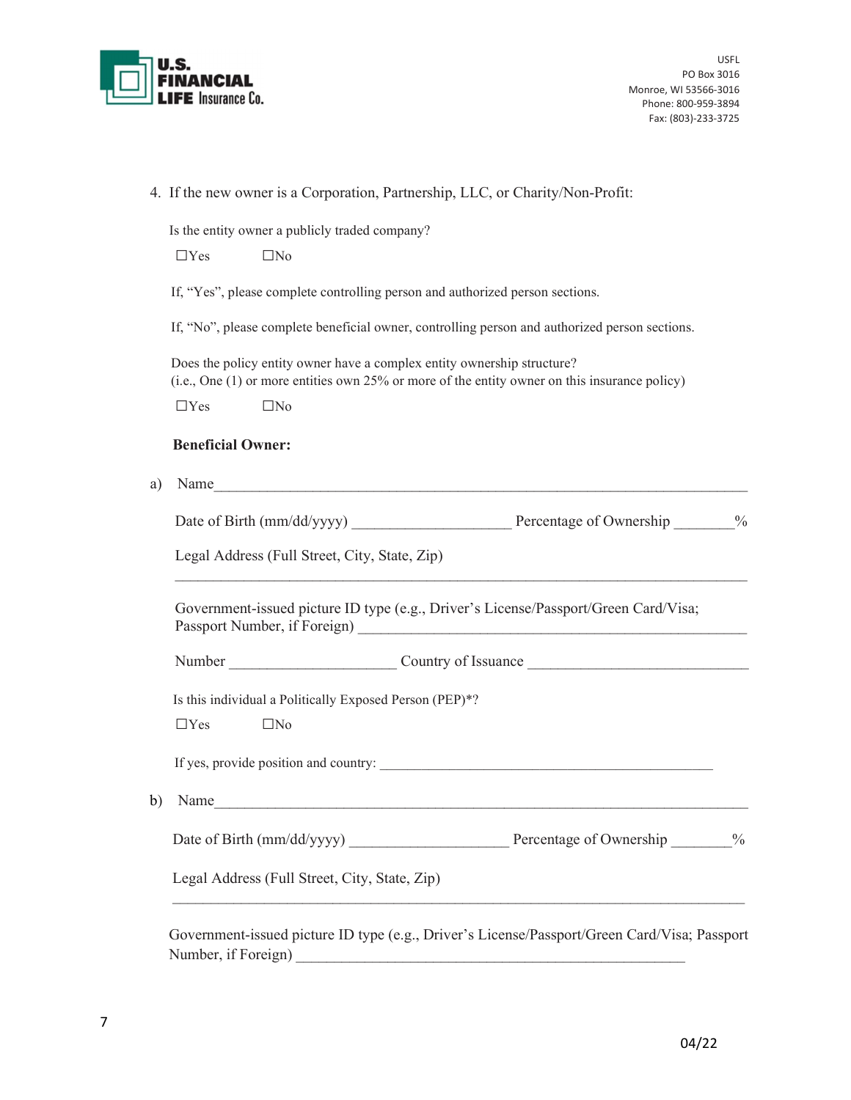

|    | 4. If the new owner is a Corporation, Partnership, LLC, or Charity/Non-Profit:                                                                                           |      |
|----|--------------------------------------------------------------------------------------------------------------------------------------------------------------------------|------|
|    | Is the entity owner a publicly traded company?                                                                                                                           |      |
|    | $\square$ No<br>$\Box$ Yes                                                                                                                                               |      |
|    | If, "Yes", please complete controlling person and authorized person sections.                                                                                            |      |
|    | If, "No", please complete beneficial owner, controlling person and authorized person sections.                                                                           |      |
|    | Does the policy entity owner have a complex entity ownership structure?<br>(i.e., One (1) or more entities own 25% or more of the entity owner on this insurance policy) |      |
|    | $\Box$ Yes<br>$\square$ No                                                                                                                                               |      |
|    | <b>Beneficial Owner:</b>                                                                                                                                                 |      |
| a) | Name                                                                                                                                                                     |      |
|    |                                                                                                                                                                          |      |
|    | Legal Address (Full Street, City, State, Zip)                                                                                                                            |      |
|    | Government-issued picture ID type (e.g., Driver's License/Passport/Green Card/Visa;                                                                                      |      |
|    |                                                                                                                                                                          |      |
|    | Is this individual a Politically Exposed Person (PEP)*?                                                                                                                  |      |
|    |                                                                                                                                                                          |      |
|    | $\square$ No<br>$\Box$ Yes                                                                                                                                               |      |
|    |                                                                                                                                                                          |      |
|    | Name                                                                                                                                                                     |      |
| b) | Percentage of Ownership                                                                                                                                                  | $\%$ |

 Government-issued picture ID type (e.g., Driver's License/Passport/Green Card/Visa; Passport Number, if Foreign)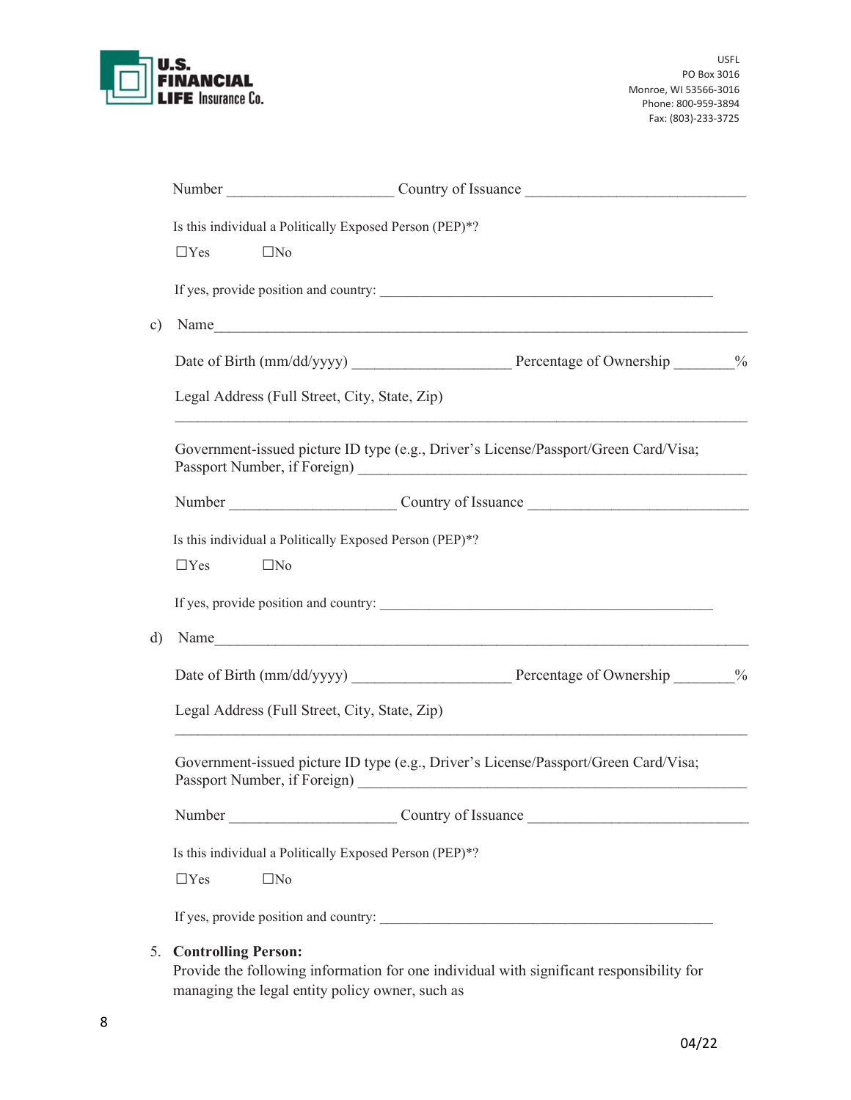

|           | Number Country of Issuance                                                                                                         |  |  |  |
|-----------|------------------------------------------------------------------------------------------------------------------------------------|--|--|--|
|           | Is this individual a Politically Exposed Person (PEP)*?                                                                            |  |  |  |
|           | $\Box$ Yes<br>$\square$ No                                                                                                         |  |  |  |
|           |                                                                                                                                    |  |  |  |
| $\circ$ ) | Name                                                                                                                               |  |  |  |
|           |                                                                                                                                    |  |  |  |
|           | Legal Address (Full Street, City, State, Zip)<br>,我们也不能在这里的人,我们也不能在这里的人,我们也不能在这里的人,我们也不能在这里的人,我们也不能在这里的人,我们也不能在这里的人,我们也不能在这里的人,我们也 |  |  |  |
|           | Government-issued picture ID type (e.g., Driver's License/Passport/Green Card/Visa;                                                |  |  |  |
|           |                                                                                                                                    |  |  |  |
|           | Is this individual a Politically Exposed Person (PEP)*?                                                                            |  |  |  |
|           | $\Box$ Yes<br>$\square$ No                                                                                                         |  |  |  |
|           |                                                                                                                                    |  |  |  |
| d)        |                                                                                                                                    |  |  |  |
|           |                                                                                                                                    |  |  |  |
|           | Legal Address (Full Street, City, State, Zip)                                                                                      |  |  |  |
|           | Government-issued picture ID type (e.g., Driver's License/Passport/Green Card/Visa;                                                |  |  |  |
|           |                                                                                                                                    |  |  |  |
|           | Is this individual a Politically Exposed Person (PEP)*?                                                                            |  |  |  |
|           | $\Box$ Yes<br>$\square$ No                                                                                                         |  |  |  |
|           |                                                                                                                                    |  |  |  |
|           | <b>Controlling Person:</b><br>5.                                                                                                   |  |  |  |

 Provide the following information for one individual with significant responsibility for managing the legal entity policy owner, such as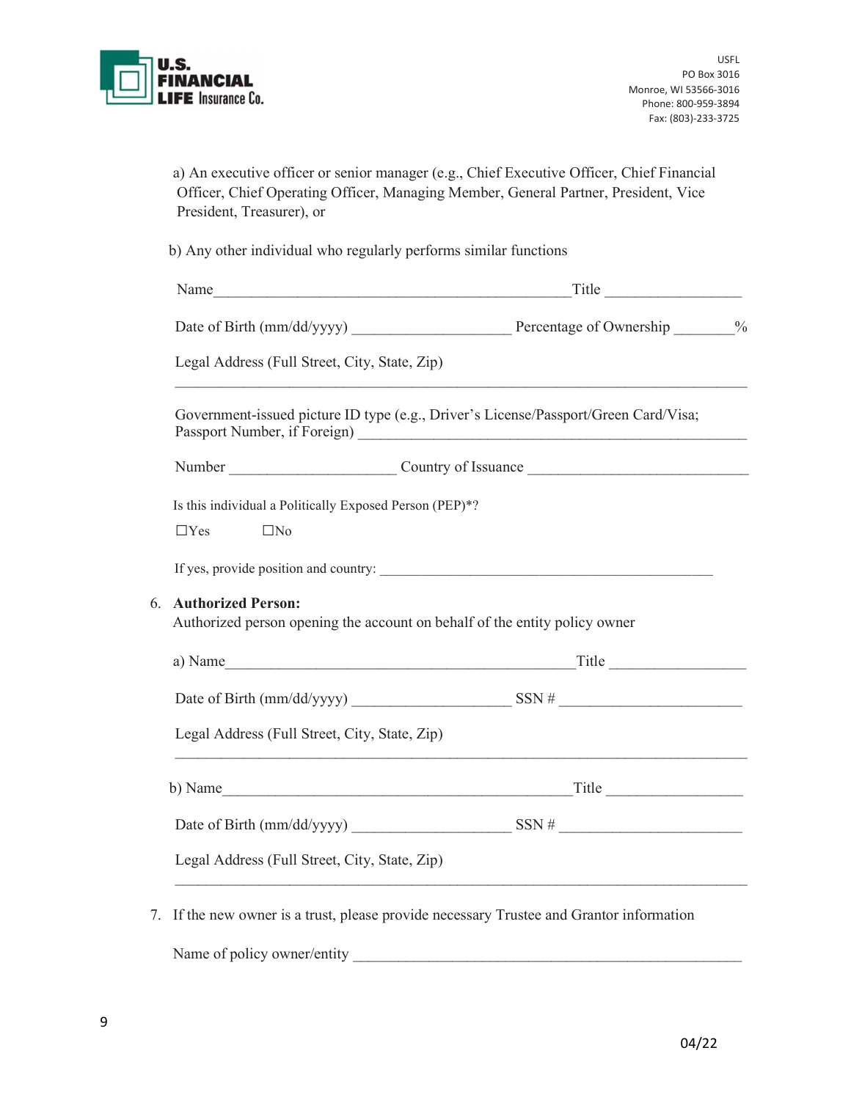

|                           | a) An executive officer or senior manager (e.g., Chief Executive Officer, Chief Financial |
|---------------------------|-------------------------------------------------------------------------------------------|
|                           | Officer, Chief Operating Officer, Managing Member, General Partner, President, Vice       |
| President, Treasurer), or |                                                                                           |

b) Any other individual who regularly performs similar functions

| Legal Address (Full Street, City, State, Zip) | ,我们也不能在这里的时候,我们也不能在这里的时候,我们也不能会在这里的时候,我们也不能会在这里的时候,我们也不能会在这里的时候,我们也不能会在这里的时候,我们也不                  |  |
|-----------------------------------------------|----------------------------------------------------------------------------------------------------|--|
|                                               | Government-issued picture ID type (e.g., Driver's License/Passport/Green Card/Visa;                |  |
|                                               |                                                                                                    |  |
|                                               | Is this individual a Politically Exposed Person (PEP)*?                                            |  |
| $\Box$ No<br>$\Box$ Yes                       |                                                                                                    |  |
|                                               |                                                                                                    |  |
| <b>Authorized Person:</b><br>6.               |                                                                                                    |  |
|                                               | Authorized person opening the account on behalf of the entity policy owner                         |  |
|                                               |                                                                                                    |  |
|                                               |                                                                                                    |  |
| Legal Address (Full Street, City, State, Zip) |                                                                                                    |  |
|                                               | ,我们也不能在这里的人,我们也不能在这里的人,我们也不能在这里的人,我们也不能在这里的人,我们也不能在这里的人,我们也不能在这里的人,我们也不能在这里的人,我们也<br>b) Name Title |  |
|                                               |                                                                                                    |  |

7. If the new owner is a trust, please provide necessary Trustee and Grantor information

Name of policy owner/entity \_\_\_\_\_\_\_\_\_\_\_\_\_\_\_\_\_\_\_\_\_\_\_\_\_\_\_\_\_\_\_\_\_\_\_\_\_\_\_\_\_\_\_\_\_\_\_\_\_\_\_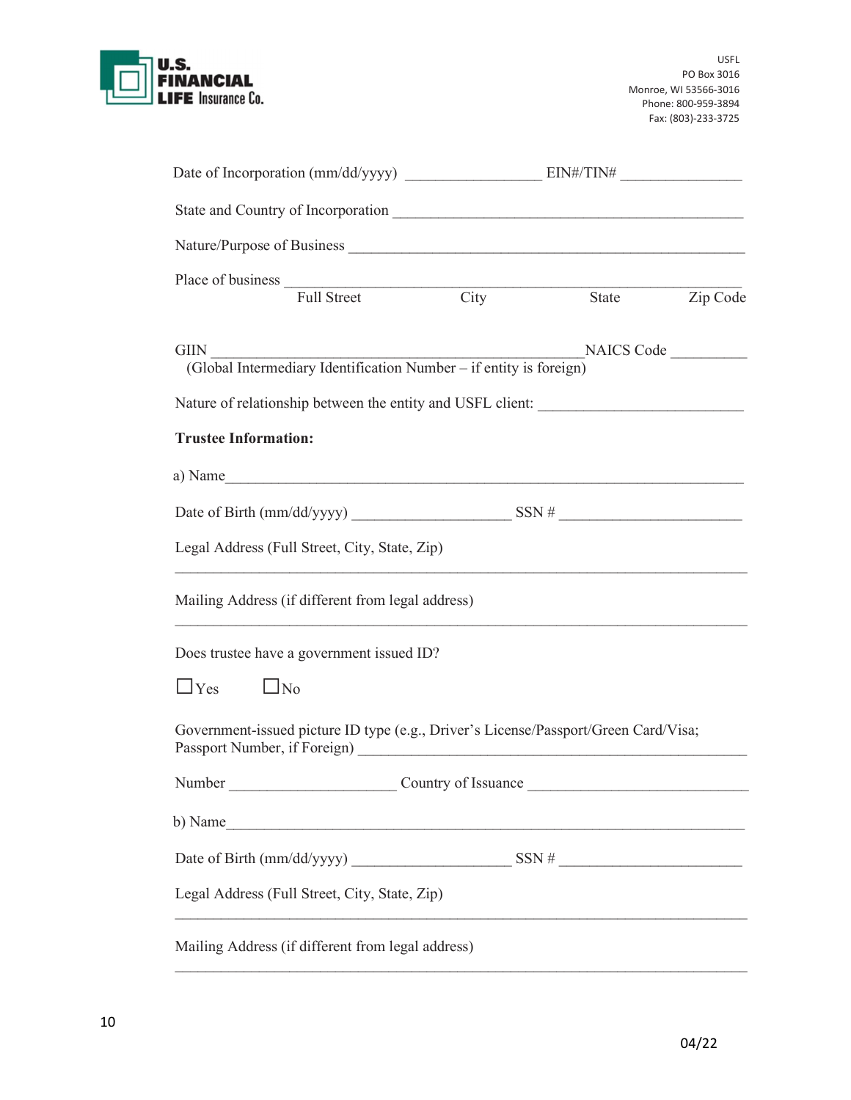

|                                                   | NAICS Code |                                                                                                                                                                                                                                                                                                                                                                                                               |
|---------------------------------------------------|------------|---------------------------------------------------------------------------------------------------------------------------------------------------------------------------------------------------------------------------------------------------------------------------------------------------------------------------------------------------------------------------------------------------------------|
|                                                   |            |                                                                                                                                                                                                                                                                                                                                                                                                               |
|                                                   |            |                                                                                                                                                                                                                                                                                                                                                                                                               |
|                                                   |            |                                                                                                                                                                                                                                                                                                                                                                                                               |
|                                                   |            |                                                                                                                                                                                                                                                                                                                                                                                                               |
|                                                   |            |                                                                                                                                                                                                                                                                                                                                                                                                               |
| Mailing Address (if different from legal address) |            |                                                                                                                                                                                                                                                                                                                                                                                                               |
|                                                   |            |                                                                                                                                                                                                                                                                                                                                                                                                               |
|                                                   |            |                                                                                                                                                                                                                                                                                                                                                                                                               |
|                                                   |            |                                                                                                                                                                                                                                                                                                                                                                                                               |
| Country of Issuance                               |            |                                                                                                                                                                                                                                                                                                                                                                                                               |
|                                                   |            |                                                                                                                                                                                                                                                                                                                                                                                                               |
|                                                   |            |                                                                                                                                                                                                                                                                                                                                                                                                               |
|                                                   |            |                                                                                                                                                                                                                                                                                                                                                                                                               |
|                                                   |            | Place of business Full Street City State Zip Code<br>(Global Intermediary Identification Number – if entity is foreign)<br>Nature of relationship between the entity and USFL client: ______________________<br>a) Name<br>,我们也不能在这里的时候,我们也不能在这里的时候,我们也不能会在这里的时候,我们也不能会在这里的时候,我们也不能会在这里的时候,我们也不能会在这里的时候,我们也<br>Government-issued picture ID type (e.g., Driver's License/Passport/Green Card/Visa;<br>b) Name |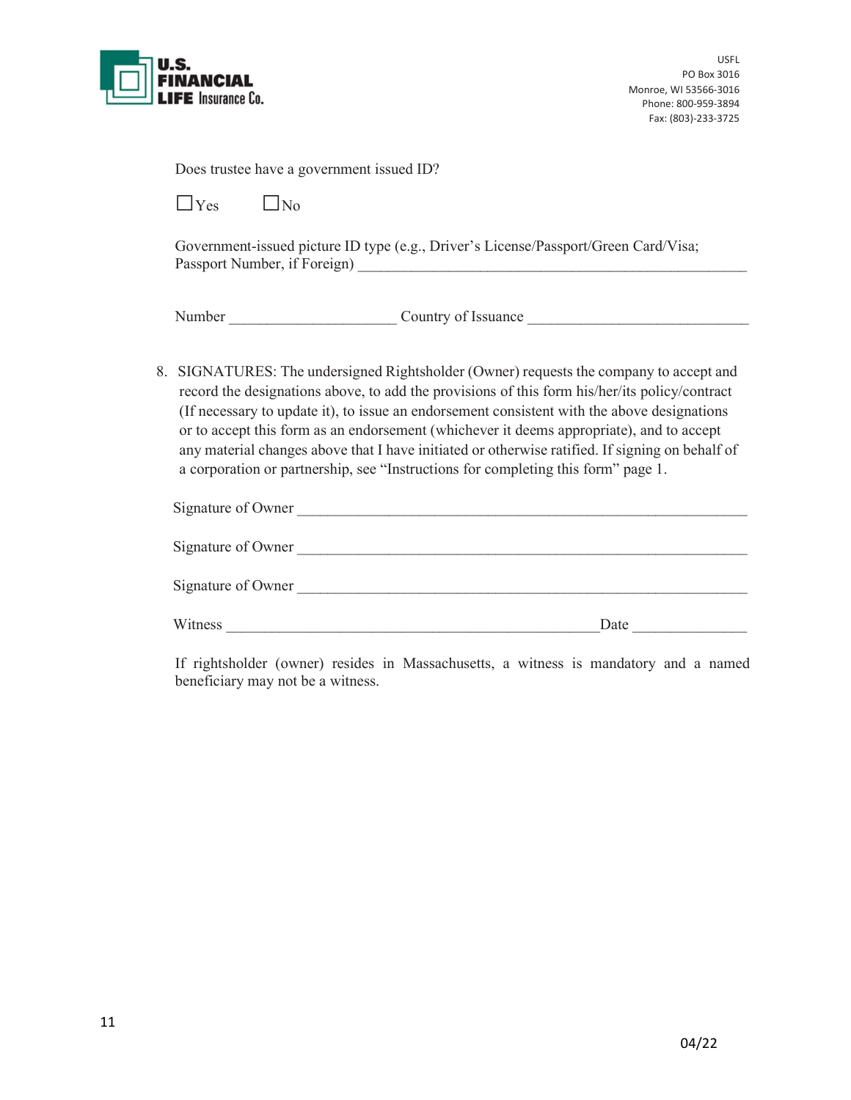

| Does trustee have a government issued ID? |  |  |  |  |
|-------------------------------------------|--|--|--|--|
|-------------------------------------------|--|--|--|--|

 $\Box$ Yes  $\Box$ No

Government-issued picture ID type (e.g., Driver's License/Passport/Green Card/Visa; Passport Number, if Foreign) \_\_\_\_\_\_\_\_\_\_\_\_\_\_\_\_\_\_\_\_\_\_\_\_\_\_\_\_\_\_\_\_\_\_\_\_\_\_\_\_\_\_\_\_\_\_\_\_\_\_\_

Number Country of Issuance

8. SIGNATURES: The undersigned Rightsholder (Owner) requests the company to accept and record the designations above, to add the provisions of this form his/her/its policy/contract (If necessary to update it), to issue an endorsement consistent with the above designations or to accept this form as an endorsement (whichever it deems appropriate), and to accept any material changes above that I have initiated or otherwise ratified. If signing on behalf of a corporation or partnership, see "Instructions for completing this form" page 1.

| Signature of Owner |      |
|--------------------|------|
| Signature of Owner |      |
| Signature of Owner |      |
| Witness            | Date |

If rightsholder (owner) resides in Massachusetts, a witness is mandatory and a named beneficiary may not be a witness.